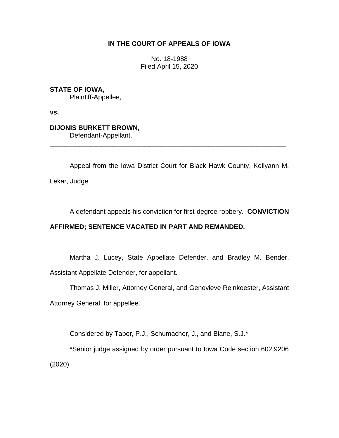## **IN THE COURT OF APPEALS OF IOWA**

No. 18-1988 Filed April 15, 2020

**STATE OF IOWA,** Plaintiff-Appellee,

**vs.**

# **DIJONIS BURKETT BROWN,**

Defendant-Appellant.

Appeal from the Iowa District Court for Black Hawk County, Kellyann M. Lekar, Judge.

\_\_\_\_\_\_\_\_\_\_\_\_\_\_\_\_\_\_\_\_\_\_\_\_\_\_\_\_\_\_\_\_\_\_\_\_\_\_\_\_\_\_\_\_\_\_\_\_\_\_\_\_\_\_\_\_\_\_\_\_\_\_\_\_

A defendant appeals his conviction for first-degree robbery. **CONVICTION** 

## **AFFIRMED; SENTENCE VACATED IN PART AND REMANDED.**

Martha J. Lucey, State Appellate Defender, and Bradley M. Bender, Assistant Appellate Defender, for appellant.

Thomas J. Miller, Attorney General, and Genevieve Reinkoester, Assistant

Attorney General, for appellee.

Considered by Tabor, P.J., Schumacher, J., and Blane, S.J.\*

\*Senior judge assigned by order pursuant to Iowa Code section 602.9206 (2020).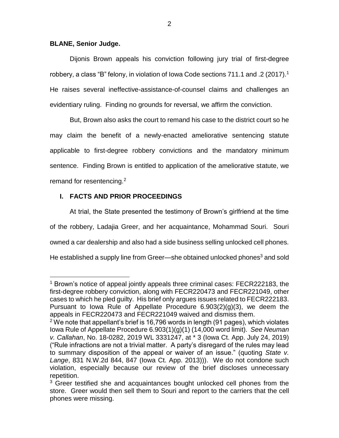## **BLANE, Senior Judge.**

 $\overline{a}$ 

Dijonis Brown appeals his conviction following jury trial of first-degree robbery, a class "B" felony, in violation of Iowa Code sections 711.1 and .2 (2017). $^1$ He raises several ineffective-assistance-of-counsel claims and challenges an evidentiary ruling. Finding no grounds for reversal, we affirm the conviction.

But, Brown also asks the court to remand his case to the district court so he may claim the benefit of a newly-enacted ameliorative sentencing statute applicable to first-degree robbery convictions and the mandatory minimum sentence. Finding Brown is entitled to application of the ameliorative statute, we remand for resentencing.<sup>2</sup>

## **I. FACTS AND PRIOR PROCEEDINGS**

At trial, the State presented the testimony of Brown's girlfriend at the time of the robbery, Ladajia Greer, and her acquaintance, Mohammad Souri. Souri owned a car dealership and also had a side business selling unlocked cell phones. He established a supply line from Greer—she obtained unlocked phones<sup>3</sup> and sold

<sup>1</sup> Brown's notice of appeal jointly appeals three criminal cases: FECR222183, the first-degree robbery conviction, along with FECR220473 and FECR221049, other cases to which he pled guilty. His brief only argues issues related to FECR222183. Pursuant to Iowa Rule of Appellate Procedure  $6.903(2)(g)(3)$ , we deem the appeals in FECR220473 and FECR221049 waived and dismiss them.

 $2$  We note that appellant's brief is 16,796 words in length (91 pages), which violates Iowa Rule of Appellate Procedure 6.903(1)(g)(1) (14,000 word limit). *See Neuman v. Callahan*, No. 18-0282, 2019 WL 3331247, at \* 3 (Iowa Ct. App. July 24, 2019) ("Rule infractions are not a trivial matter. A party's disregard of the rules may lead to summary disposition of the appeal or waiver of an issue." (quoting *State v. Lange*, 831 N.W.2d 844, 847 (Iowa Ct. App. 2013))). We do not condone such violation, especially because our review of the brief discloses unnecessary repetition.

 $3$  Greer testified she and acquaintances bought unlocked cell phones from the store. Greer would then sell them to Souri and report to the carriers that the cell phones were missing.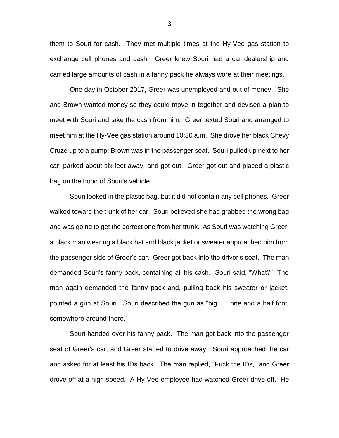them to Souri for cash. They met multiple times at the Hy-Vee gas station to exchange cell phones and cash. Greer knew Souri had a car dealership and carried large amounts of cash in a fanny pack he always wore at their meetings.

One day in October 2017, Greer was unemployed and out of money. She and Brown wanted money so they could move in together and devised a plan to meet with Souri and take the cash from him. Greer texted Souri and arranged to meet him at the Hy-Vee gas station around 10:30 a.m. She drove her black Chevy Cruze up to a pump; Brown was in the passenger seat. Souri pulled up next to her car, parked about six feet away, and got out. Greer got out and placed a plastic bag on the hood of Souri's vehicle.

Souri looked in the plastic bag, but it did not contain any cell phones. Greer walked toward the trunk of her car. Souri believed she had grabbed the wrong bag and was going to get the correct one from her trunk. As Souri was watching Greer, a black man wearing a black hat and black jacket or sweater approached him from the passenger side of Greer's car. Greer got back into the driver's seat. The man demanded Souri's fanny pack, containing all his cash. Souri said, "What?" The man again demanded the fanny pack and, pulling back his sweater or jacket, pointed a gun at Souri. Souri described the gun as "big . . . one and a half foot, somewhere around there."

Souri handed over his fanny pack. The man got back into the passenger seat of Greer's car, and Greer started to drive away. Souri approached the car and asked for at least his IDs back. The man replied, "Fuck the IDs," and Greer drove off at a high speed. A Hy-Vee employee had watched Greer drive off. He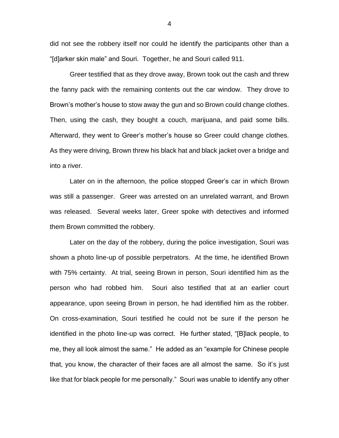did not see the robbery itself nor could he identify the participants other than a "[d]arker skin male" and Souri. Together, he and Souri called 911.

Greer testified that as they drove away, Brown took out the cash and threw the fanny pack with the remaining contents out the car window. They drove to Brown's mother's house to stow away the gun and so Brown could change clothes. Then, using the cash, they bought a couch, marijuana, and paid some bills. Afterward, they went to Greer's mother's house so Greer could change clothes. As they were driving, Brown threw his black hat and black jacket over a bridge and into a river.

Later on in the afternoon, the police stopped Greer's car in which Brown was still a passenger. Greer was arrested on an unrelated warrant, and Brown was released. Several weeks later, Greer spoke with detectives and informed them Brown committed the robbery.

Later on the day of the robbery, during the police investigation, Souri was shown a photo line-up of possible perpetrators. At the time, he identified Brown with 75% certainty. At trial, seeing Brown in person, Souri identified him as the person who had robbed him. Souri also testified that at an earlier court appearance, upon seeing Brown in person, he had identified him as the robber. On cross-examination, Souri testified he could not be sure if the person he identified in the photo line-up was correct. He further stated, "[B]lack people, to me, they all look almost the same." He added as an "example for Chinese people that, you know, the character of their faces are all almost the same. So it's just like that for black people for me personally." Souri was unable to identify any other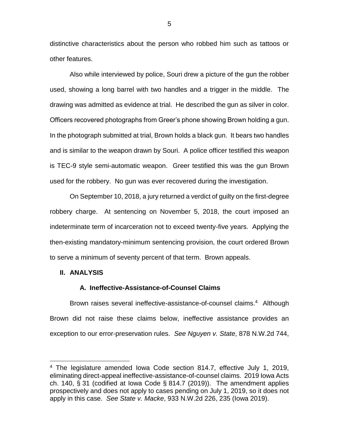distinctive characteristics about the person who robbed him such as tattoos or other features.

Also while interviewed by police, Souri drew a picture of the gun the robber used, showing a long barrel with two handles and a trigger in the middle. The drawing was admitted as evidence at trial. He described the gun as silver in color. Officers recovered photographs from Greer's phone showing Brown holding a gun. In the photograph submitted at trial, Brown holds a black gun. It bears two handles and is similar to the weapon drawn by Souri. A police officer testified this weapon is TEC-9 style semi-automatic weapon. Greer testified this was the gun Brown used for the robbery. No gun was ever recovered during the investigation.

On September 10, 2018, a jury returned a verdict of guilty on the first-degree robbery charge. At sentencing on November 5, 2018, the court imposed an indeterminate term of incarceration not to exceed twenty-five years. Applying the then-existing mandatory-minimum sentencing provision, the court ordered Brown to serve a minimum of seventy percent of that term. Brown appeals.

## **II. ANALYSIS**

 $\overline{a}$ 

## **A. Ineffective-Assistance-of-Counsel Claims**

Brown raises several ineffective-assistance-of-counsel claims.<sup>4</sup> Although Brown did not raise these claims below, ineffective assistance provides an exception to our error-preservation rules. *See Nguyen v. State*, 878 N.W.2d 744,

<sup>4</sup> The legislature amended Iowa Code section 814.7, effective July 1, 2019, eliminating direct-appeal ineffective-assistance-of-counsel claims. 2019 Iowa Acts ch. 140, § 31 (codified at Iowa Code § 814.7 (2019)). The amendment applies prospectively and does not apply to cases pending on July 1, 2019, so it does not apply in this case. *See State v. Macke*, 933 N.W.2d 226, 235 (Iowa 2019).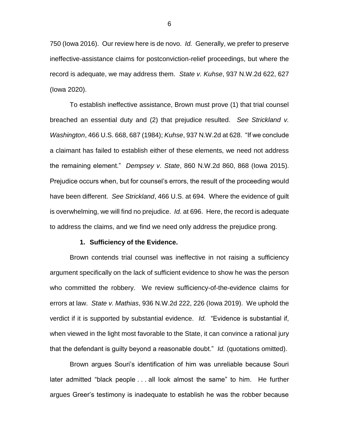750 (Iowa 2016). Our review here is de novo. *Id.* Generally, we prefer to preserve ineffective-assistance claims for postconviction-relief proceedings, but where the record is adequate, we may address them. *State v. Kuhse*, 937 N.W.2d 622, 627 (Iowa 2020).

To establish ineffective assistance, Brown must prove (1) that trial counsel breached an essential duty and (2) that prejudice resulted. *See Strickland v. Washington*, 466 U.S. 668, 687 (1984); *Kuhse*, 937 N.W.2d at 628. "If we conclude a claimant has failed to establish either of these elements, we need not address the remaining element." *Dempsey v. State*, 860 N.W.2d 860, 868 (Iowa 2015). Prejudice occurs when, but for counsel's errors, the result of the proceeding would have been different. *See Strickland*, 466 U.S. at 694. Where the evidence of guilt is overwhelming, we will find no prejudice. *Id.* at 696. Here, the record is adequate to address the claims, and we find we need only address the prejudice prong.

#### **1. Sufficiency of the Evidence.**

Brown contends trial counsel was ineffective in not raising a sufficiency argument specifically on the lack of sufficient evidence to show he was the person who committed the robbery. We review sufficiency-of-the-evidence claims for errors at law. *State v. Mathias*, 936 N.W.2d 222, 226 (Iowa 2019). We uphold the verdict if it is supported by substantial evidence. *Id.* "Evidence is substantial if, when viewed in the light most favorable to the State, it can convince a rational jury that the defendant is guilty beyond a reasonable doubt." *Id.* (quotations omitted).

Brown argues Souri's identification of him was unreliable because Souri later admitted "black people . . . all look almost the same" to him. He further argues Greer's testimony is inadequate to establish he was the robber because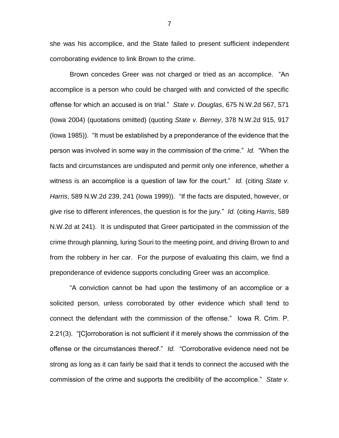she was his accomplice, and the State failed to present sufficient independent corroborating evidence to link Brown to the crime.

Brown concedes Greer was not charged or tried as an accomplice. "An accomplice is a person who could be charged with and convicted of the specific offense for which an accused is on trial." *State v. Douglas*, 675 N.W.2d 567, 571 (Iowa 2004) (quotations omitted) (quoting *State v. Berney*, 378 N.W.2d 915, 917 (Iowa 1985)). "It must be established by a preponderance of the evidence that the person was involved in some way in the commission of the crime." *Id.* "When the facts and circumstances are undisputed and permit only one inference, whether a witness is an accomplice is a question of law for the court." *Id.* (citing *State v. Harris*, 589 N.W.2d 239, 241 (Iowa 1999)). "If the facts are disputed, however, or give rise to different inferences, the question is for the jury." *Id.* (citing *Harris*, 589 N.W.2d at 241). It is undisputed that Greer participated in the commission of the crime through planning, luring Souri to the meeting point, and driving Brown to and from the robbery in her car. For the purpose of evaluating this claim, we find a preponderance of evidence supports concluding Greer was an accomplice.

"A conviction cannot be had upon the testimony of an accomplice or a solicited person, unless corroborated by other evidence which shall tend to connect the defendant with the commission of the offense." Iowa R. Crim. P. 2.21(3). "[C]orroboration is not sufficient if it merely shows the commission of the offense or the circumstances thereof." *Id.* "Corroborative evidence need not be strong as long as it can fairly be said that it tends to connect the accused with the commission of the crime and supports the credibility of the accomplice." *State v.*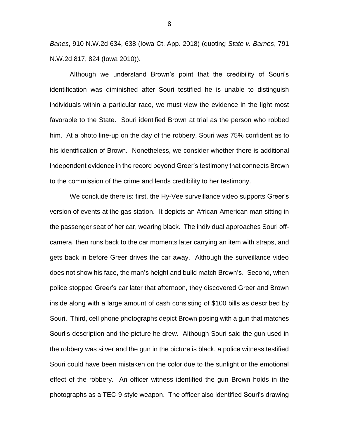*Banes*, 910 N.W.2d 634, 638 (Iowa Ct. App. 2018) (quoting *State v. Barnes*, 791 N.W.2d 817, 824 (Iowa 2010)).

Although we understand Brown's point that the credibility of Souri's identification was diminished after Souri testified he is unable to distinguish individuals within a particular race, we must view the evidence in the light most favorable to the State. Souri identified Brown at trial as the person who robbed him. At a photo line-up on the day of the robbery, Souri was 75% confident as to his identification of Brown. Nonetheless, we consider whether there is additional independent evidence in the record beyond Greer's testimony that connects Brown to the commission of the crime and lends credibility to her testimony.

We conclude there is: first, the Hy-Vee surveillance video supports Greer's version of events at the gas station. It depicts an African-American man sitting in the passenger seat of her car, wearing black. The individual approaches Souri offcamera, then runs back to the car moments later carrying an item with straps, and gets back in before Greer drives the car away. Although the surveillance video does not show his face, the man's height and build match Brown's. Second, when police stopped Greer's car later that afternoon, they discovered Greer and Brown inside along with a large amount of cash consisting of \$100 bills as described by Souri. Third, cell phone photographs depict Brown posing with a gun that matches Souri's description and the picture he drew. Although Souri said the gun used in the robbery was silver and the gun in the picture is black, a police witness testified Souri could have been mistaken on the color due to the sunlight or the emotional effect of the robbery. An officer witness identified the gun Brown holds in the photographs as a TEC-9-style weapon. The officer also identified Souri's drawing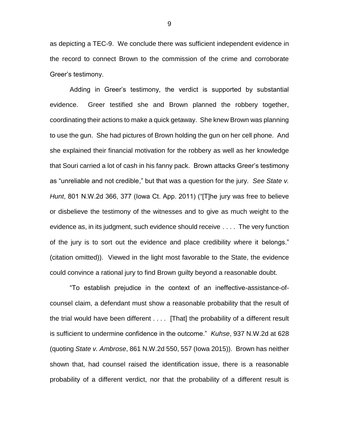as depicting a TEC-9. We conclude there was sufficient independent evidence in the record to connect Brown to the commission of the crime and corroborate Greer's testimony.

Adding in Greer's testimony, the verdict is supported by substantial evidence. Greer testified she and Brown planned the robbery together, coordinating their actions to make a quick getaway. She knew Brown was planning to use the gun. She had pictures of Brown holding the gun on her cell phone. And she explained their financial motivation for the robbery as well as her knowledge that Souri carried a lot of cash in his fanny pack. Brown attacks Greer's testimony as "unreliable and not credible," but that was a question for the jury. *See State v. Hunt*, 801 N.W.2d 366, 377 (Iowa Ct. App. 2011) ("[T]he jury was free to believe or disbelieve the testimony of the witnesses and to give as much weight to the evidence as, in its judgment, such evidence should receive . . . . The very function of the jury is to sort out the evidence and place credibility where it belongs." (citation omitted)). Viewed in the light most favorable to the State, the evidence could convince a rational jury to find Brown guilty beyond a reasonable doubt.

"To establish prejudice in the context of an ineffective-assistance-ofcounsel claim, a defendant must show a reasonable probability that the result of the trial would have been different . . . . [That] the probability of a different result is sufficient to undermine confidence in the outcome." *Kuhse*, 937 N.W.2d at 628 (quoting *State v. Ambrose*, 861 N.W.2d 550, 557 (Iowa 2015)). Brown has neither shown that, had counsel raised the identification issue, there is a reasonable probability of a different verdict, nor that the probability of a different result is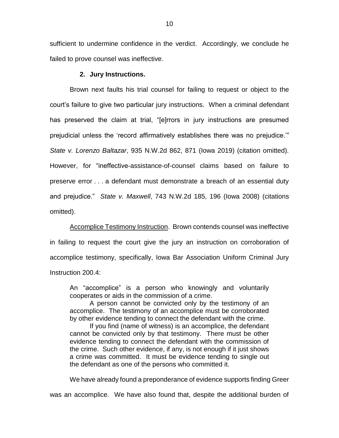sufficient to undermine confidence in the verdict. Accordingly, we conclude he failed to prove counsel was ineffective.

### **2. Jury Instructions.**

Brown next faults his trial counsel for failing to request or object to the court's failure to give two particular jury instructions. When a criminal defendant has preserved the claim at trial, "[e]rrors in jury instructions are presumed prejudicial unless the 'record affirmatively establishes there was no prejudice.'" *State v. Lorenzo Baltazar*, 935 N.W.2d 862, 871 (Iowa 2019) (citation omitted). However, for "ineffective-assistance-of-counsel claims based on failure to preserve error . . . a defendant must demonstrate a breach of an essential duty and prejudice." *State v. Maxwell*, 743 N.W.2d 185, 196 (Iowa 2008) (citations omitted).

Accomplice Testimony Instruction. Brown contends counsel was ineffective in failing to request the court give the jury an instruction on corroboration of accomplice testimony, specifically, Iowa Bar Association Uniform Criminal Jury Instruction 200.4:

An "accomplice" is a person who knowingly and voluntarily cooperates or aids in the commission of a crime.

A person cannot be convicted only by the testimony of an accomplice. The testimony of an accomplice must be corroborated by other evidence tending to connect the defendant with the crime.

If you find (name of witness) is an accomplice, the defendant cannot be convicted only by that testimony. There must be other evidence tending to connect the defendant with the commission of the crime. Such other evidence, if any, is not enough if it just shows a crime was committed. It must be evidence tending to single out the defendant as one of the persons who committed it.

We have already found a preponderance of evidence supports finding Greer

was an accomplice. We have also found that, despite the additional burden of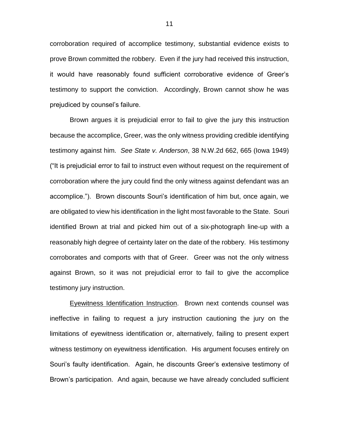corroboration required of accomplice testimony, substantial evidence exists to prove Brown committed the robbery. Even if the jury had received this instruction, it would have reasonably found sufficient corroborative evidence of Greer's testimony to support the conviction. Accordingly, Brown cannot show he was prejudiced by counsel's failure.

Brown argues it is prejudicial error to fail to give the jury this instruction because the accomplice, Greer, was the only witness providing credible identifying testimony against him. *See State v. Anderson*, 38 N.W.2d 662, 665 (Iowa 1949) ("It is prejudicial error to fail to instruct even without request on the requirement of corroboration where the jury could find the only witness against defendant was an accomplice."). Brown discounts Souri's identification of him but, once again, we are obligated to view his identification in the light most favorable to the State. Souri identified Brown at trial and picked him out of a six-photograph line-up with a reasonably high degree of certainty later on the date of the robbery. His testimony corroborates and comports with that of Greer. Greer was not the only witness against Brown, so it was not prejudicial error to fail to give the accomplice testimony jury instruction.

Eyewitness Identification Instruction. Brown next contends counsel was ineffective in failing to request a jury instruction cautioning the jury on the limitations of eyewitness identification or, alternatively, failing to present expert witness testimony on eyewitness identification. His argument focuses entirely on Souri's faulty identification. Again, he discounts Greer's extensive testimony of Brown's participation. And again, because we have already concluded sufficient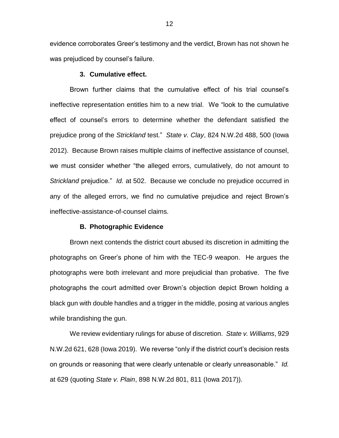evidence corroborates Greer's testimony and the verdict, Brown has not shown he was prejudiced by counsel's failure.

## **3. Cumulative effect.**

Brown further claims that the cumulative effect of his trial counsel's ineffective representation entitles him to a new trial. We "look to the cumulative effect of counsel's errors to determine whether the defendant satisfied the prejudice prong of the *Strickland* test." *State v. Clay*, 824 N.W.2d 488, 500 (Iowa 2012). Because Brown raises multiple claims of ineffective assistance of counsel, we must consider whether "the alleged errors, cumulatively, do not amount to *Strickland* prejudice." *Id.* at 502. Because we conclude no prejudice occurred in any of the alleged errors, we find no cumulative prejudice and reject Brown's ineffective-assistance-of-counsel claims.

### **B. Photographic Evidence**

Brown next contends the district court abused its discretion in admitting the photographs on Greer's phone of him with the TEC-9 weapon. He argues the photographs were both irrelevant and more prejudicial than probative. The five photographs the court admitted over Brown's objection depict Brown holding a black gun with double handles and a trigger in the middle, posing at various angles while brandishing the gun.

We review evidentiary rulings for abuse of discretion. *State v. Williams*, 929 N.W.2d 621, 628 (Iowa 2019). We reverse "only if the district court's decision rests on grounds or reasoning that were clearly untenable or clearly unreasonable." *Id.* at 629 (quoting *State v. Plain*, 898 N.W.2d 801, 811 (Iowa 2017)).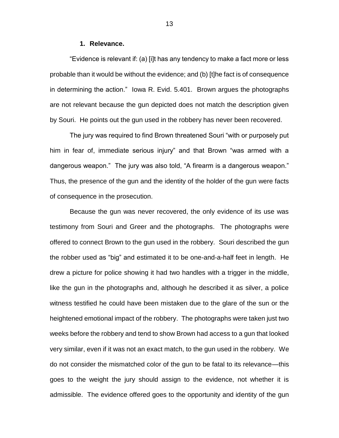### **1. Relevance.**

"Evidence is relevant if: (a) [i]t has any tendency to make a fact more or less probable than it would be without the evidence; and (b) [t]he fact is of consequence in determining the action." Iowa R. Evid. 5.401. Brown argues the photographs are not relevant because the gun depicted does not match the description given by Souri. He points out the gun used in the robbery has never been recovered.

The jury was required to find Brown threatened Souri "with or purposely put him in fear of, immediate serious injury" and that Brown "was armed with a dangerous weapon." The jury was also told, "A firearm is a dangerous weapon." Thus, the presence of the gun and the identity of the holder of the gun were facts of consequence in the prosecution.

Because the gun was never recovered, the only evidence of its use was testimony from Souri and Greer and the photographs. The photographs were offered to connect Brown to the gun used in the robbery. Souri described the gun the robber used as "big" and estimated it to be one-and-a-half feet in length. He drew a picture for police showing it had two handles with a trigger in the middle, like the gun in the photographs and, although he described it as silver, a police witness testified he could have been mistaken due to the glare of the sun or the heightened emotional impact of the robbery. The photographs were taken just two weeks before the robbery and tend to show Brown had access to a gun that looked very similar, even if it was not an exact match, to the gun used in the robbery. We do not consider the mismatched color of the gun to be fatal to its relevance—this goes to the weight the jury should assign to the evidence, not whether it is admissible. The evidence offered goes to the opportunity and identity of the gun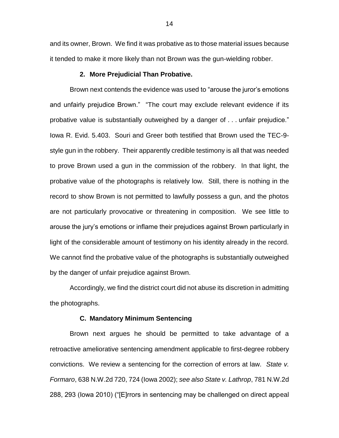and its owner, Brown. We find it was probative as to those material issues because it tended to make it more likely than not Brown was the gun-wielding robber.

## **2. More Prejudicial Than Probative.**

Brown next contends the evidence was used to "arouse the juror's emotions and unfairly prejudice Brown." "The court may exclude relevant evidence if its probative value is substantially outweighed by a danger of . . . unfair prejudice." Iowa R. Evid. 5.403. Souri and Greer both testified that Brown used the TEC-9 style gun in the robbery. Their apparently credible testimony is all that was needed to prove Brown used a gun in the commission of the robbery. In that light, the probative value of the photographs is relatively low. Still, there is nothing in the record to show Brown is not permitted to lawfully possess a gun, and the photos are not particularly provocative or threatening in composition. We see little to arouse the jury's emotions or inflame their prejudices against Brown particularly in light of the considerable amount of testimony on his identity already in the record. We cannot find the probative value of the photographs is substantially outweighed by the danger of unfair prejudice against Brown.

Accordingly, we find the district court did not abuse its discretion in admitting the photographs.

### **C. Mandatory Minimum Sentencing**

Brown next argues he should be permitted to take advantage of a retroactive ameliorative sentencing amendment applicable to first-degree robbery convictions. We review a sentencing for the correction of errors at law. *State v. Formaro*, 638 N.W.2d 720, 724 (Iowa 2002); *see also State v. Lathrop*, 781 N.W.2d 288, 293 (Iowa 2010) ("[E]rrors in sentencing may be challenged on direct appeal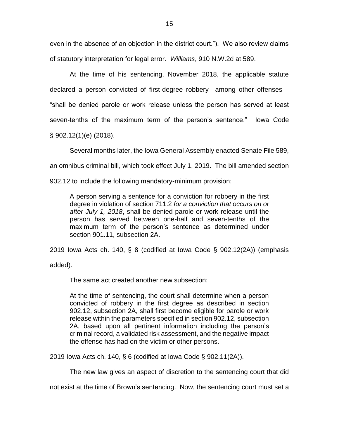even in the absence of an objection in the district court."). We also review claims of statutory interpretation for legal error. *Williams*, 910 N.W.2d at 589.

At the time of his sentencing, November 2018, the applicable statute declared a person convicted of first-degree robbery—among other offenses— "shall be denied parole or work release unless the person has served at least seven-tenths of the maximum term of the person's sentence." Iowa Code § 902.12(1)(e) (2018).

Several months later, the Iowa General Assembly enacted Senate File 589,

an omnibus criminal bill, which took effect July 1, 2019. The bill amended section

902.12 to include the following mandatory-minimum provision:

A person serving a sentence for a conviction for robbery in the first degree in violation of section 711.2 *for a conviction that occurs on or after July 1, 2018*, shall be denied parole or work release until the person has served between one-half and seven-tenths of the maximum term of the person's sentence as determined under section 901.11, subsection 2A.

2019 Iowa Acts ch. 140, § 8 (codified at Iowa Code § 902.12(2A)) (emphasis

added).

The same act created another new subsection:

At the time of sentencing, the court shall determine when a person convicted of robbery in the first degree as described in section 902.12, subsection 2A, shall first become eligible for parole or work release within the parameters specified in section 902.12, subsection 2A, based upon all pertinent information including the person's criminal record, a validated risk assessment, and the negative impact the offense has had on the victim or other persons.

2019 Iowa Acts ch. 140, § 6 (codified at Iowa Code § 902.11(2A)).

The new law gives an aspect of discretion to the sentencing court that did

not exist at the time of Brown's sentencing. Now, the sentencing court must set a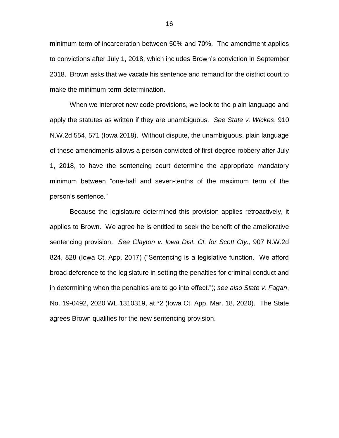minimum term of incarceration between 50% and 70%. The amendment applies to convictions after July 1, 2018, which includes Brown's conviction in September 2018. Brown asks that we vacate his sentence and remand for the district court to make the minimum-term determination.

When we interpret new code provisions, we look to the plain language and apply the statutes as written if they are unambiguous. *See State v. Wickes*, 910 N.W.2d 554, 571 (Iowa 2018). Without dispute, the unambiguous, plain language of these amendments allows a person convicted of first-degree robbery after July 1, 2018, to have the sentencing court determine the appropriate mandatory minimum between "one-half and seven-tenths of the maximum term of the person's sentence."

Because the legislature determined this provision applies retroactively, it applies to Brown. We agree he is entitled to seek the benefit of the ameliorative sentencing provision. *See Clayton v. Iowa Dist. Ct. for Scott Cty.*, 907 N.W.2d 824, 828 (Iowa Ct. App. 2017) ("Sentencing is a legislative function. We afford broad deference to the legislature in setting the penalties for criminal conduct and in determining when the penalties are to go into effect."); *see also State v. Fagan*, No. 19-0492, 2020 WL 1310319, at \*2 (Iowa Ct. App. Mar. 18, 2020). The State agrees Brown qualifies for the new sentencing provision.